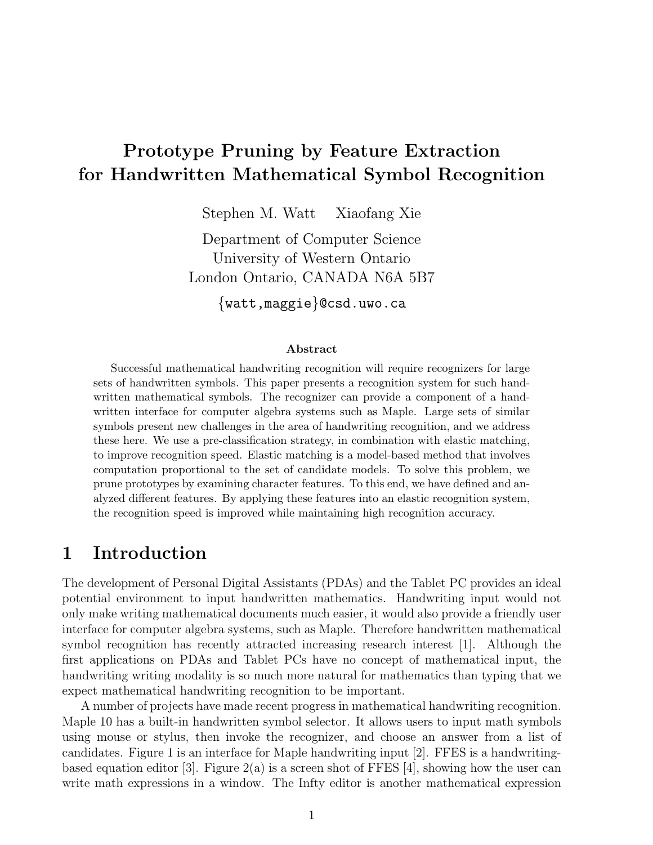# Prototype Pruning by Feature Extraction for Handwritten Mathematical Symbol Recognition

Stephen M. Watt Xiaofang Xie

Department of Computer Science University of Western Ontario London Ontario, CANADA N6A 5B7

{watt,maggie}@csd.uwo.ca

#### Abstract

Successful mathematical handwriting recognition will require recognizers for large sets of handwritten symbols. This paper presents a recognition system for such handwritten mathematical symbols. The recognizer can provide a component of a handwritten interface for computer algebra systems such as Maple. Large sets of similar symbols present new challenges in the area of handwriting recognition, and we address these here. We use a pre-classification strategy, in combination with elastic matching, to improve recognition speed. Elastic matching is a model-based method that involves computation proportional to the set of candidate models. To solve this problem, we prune prototypes by examining character features. To this end, we have defined and analyzed different features. By applying these features into an elastic recognition system, the recognition speed is improved while maintaining high recognition accuracy.

### 1 Introduction

The development of Personal Digital Assistants (PDAs) and the Tablet PC provides an ideal potential environment to input handwritten mathematics. Handwriting input would not only make writing mathematical documents much easier, it would also provide a friendly user interface for computer algebra systems, such as Maple. Therefore handwritten mathematical symbol recognition has recently attracted increasing research interest [1]. Although the first applications on PDAs and Tablet PCs have no concept of mathematical input, the handwriting writing modality is so much more natural for mathematics than typing that we expect mathematical handwriting recognition to be important.

A number of projects have made recent progress in mathematical handwriting recognition. Maple 10 has a built-in handwritten symbol selector. It allows users to input math symbols using mouse or stylus, then invoke the recognizer, and choose an answer from a list of candidates. Figure 1 is an interface for Maple handwriting input [2]. FFES is a handwritingbased equation editor [3]. Figure  $2(a)$  is a screen shot of FFES [4], showing how the user can write math expressions in a window. The Infty editor is another mathematical expression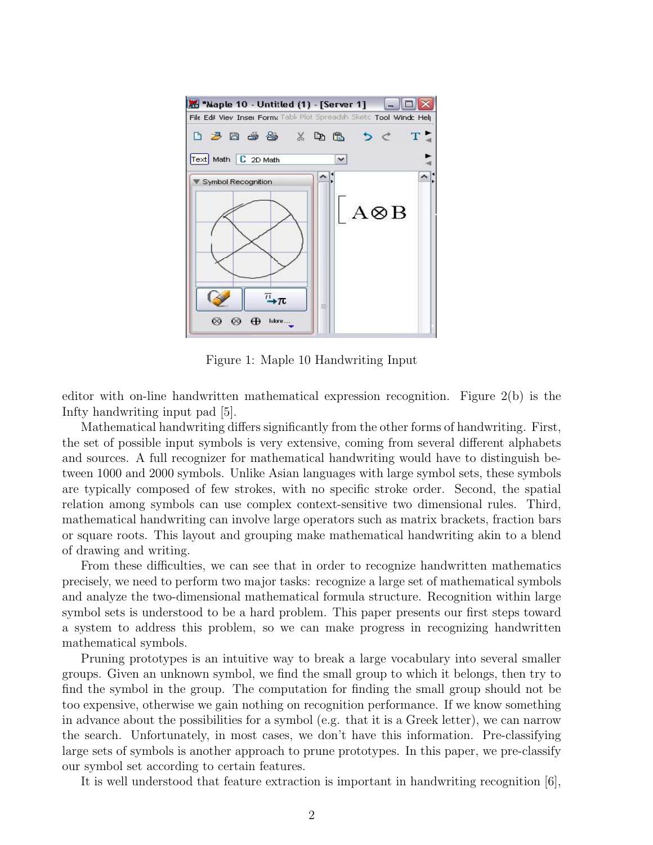

Figure 1: Maple 10 Handwriting Input

editor with on-line handwritten mathematical expression recognition. Figure 2(b) is the Infty handwriting input pad [5].

Mathematical handwriting differs significantly from the other forms of handwriting. First, the set of possible input symbols is very extensive, coming from several different alphabets and sources. A full recognizer for mathematical handwriting would have to distinguish between 1000 and 2000 symbols. Unlike Asian languages with large symbol sets, these symbols are typically composed of few strokes, with no specific stroke order. Second, the spatial relation among symbols can use complex context-sensitive two dimensional rules. Third, mathematical handwriting can involve large operators such as matrix brackets, fraction bars or square roots. This layout and grouping make mathematical handwriting akin to a blend of drawing and writing.

From these difficulties, we can see that in order to recognize handwritten mathematics precisely, we need to perform two major tasks: recognize a large set of mathematical symbols and analyze the two-dimensional mathematical formula structure. Recognition within large symbol sets is understood to be a hard problem. This paper presents our first steps toward a system to address this problem, so we can make progress in recognizing handwritten mathematical symbols.

Pruning prototypes is an intuitive way to break a large vocabulary into several smaller groups. Given an unknown symbol, we find the small group to which it belongs, then try to find the symbol in the group. The computation for finding the small group should not be too expensive, otherwise we gain nothing on recognition performance. If we know something in advance about the possibilities for a symbol (e.g. that it is a Greek letter), we can narrow the search. Unfortunately, in most cases, we don't have this information. Pre-classifying large sets of symbols is another approach to prune prototypes. In this paper, we pre-classify our symbol set according to certain features.

It is well understood that feature extraction is important in handwriting recognition [6],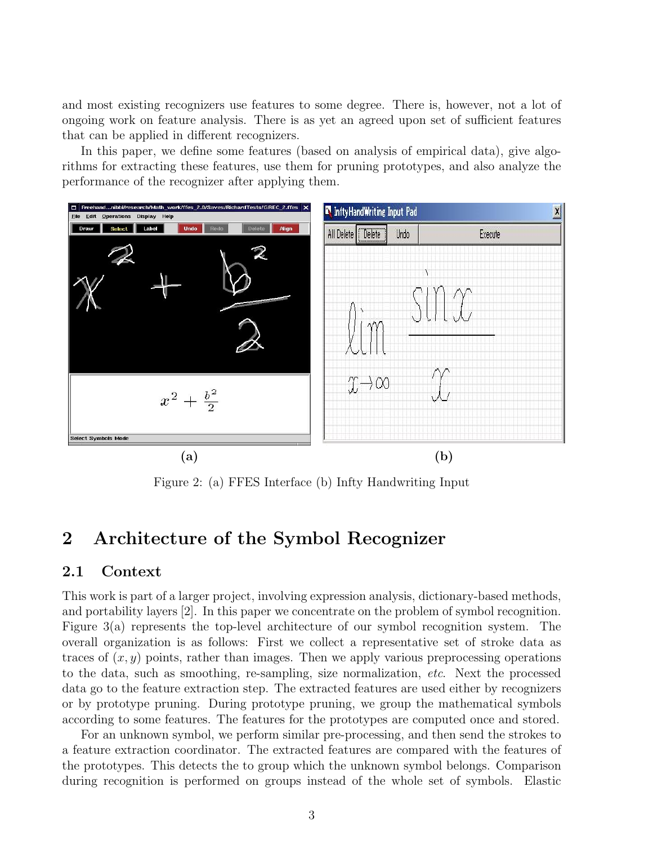and most existing recognizers use features to some degree. There is, however, not a lot of ongoing work on feature analysis. There is as yet an agreed upon set of sufficient features that can be applied in different recognizers.

In this paper, we define some features (based on analysis of empirical data), give algorithms for extracting these features, use them for pruning prototypes, and also analyze the performance of the recognizer after applying them.



Figure 2: (a) FFES Interface (b) Infty Handwriting Input

### 2 Architecture of the Symbol Recognizer

#### 2.1 Context

This work is part of a larger project, involving expression analysis, dictionary-based methods, and portability layers [2]. In this paper we concentrate on the problem of symbol recognition. Figure 3(a) represents the top-level architecture of our symbol recognition system. The overall organization is as follows: First we collect a representative set of stroke data as traces of  $(x, y)$  points, rather than images. Then we apply various preprocessing operations to the data, such as smoothing, re-sampling, size normalization, etc. Next the processed data go to the feature extraction step. The extracted features are used either by recognizers or by prototype pruning. During prototype pruning, we group the mathematical symbols according to some features. The features for the prototypes are computed once and stored.

For an unknown symbol, we perform similar pre-processing, and then send the strokes to a feature extraction coordinator. The extracted features are compared with the features of the prototypes. This detects the to group which the unknown symbol belongs. Comparison during recognition is performed on groups instead of the whole set of symbols. Elastic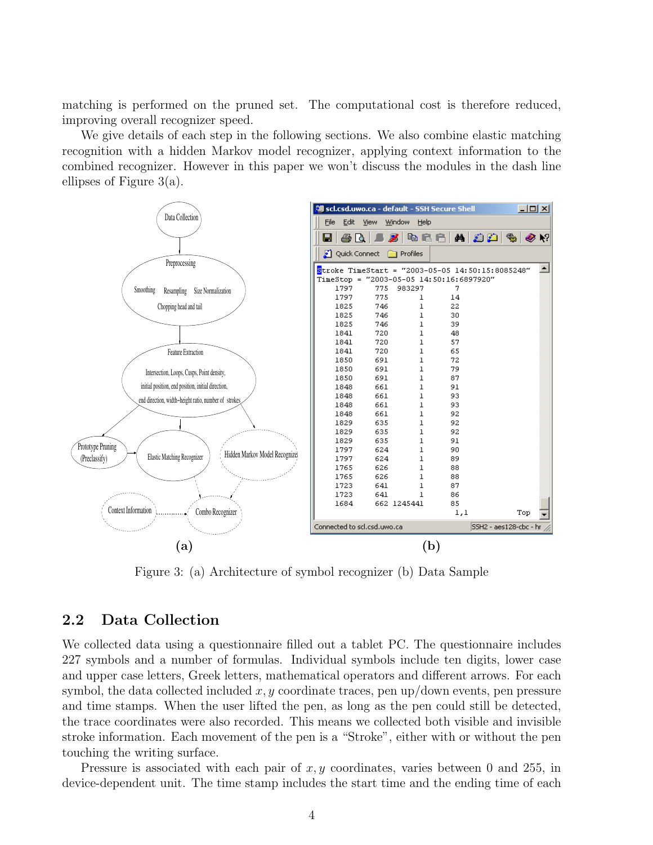matching is performed on the pruned set. The computational cost is therefore reduced, improving overall recognizer speed.

We give details of each step in the following sections. We also combine elastic matching recognition with a hidden Markov model recognizer, applying context information to the combined recognizer. However in this paper we won't discuss the modules in the dash line ellipses of Figure 3(a).



Figure 3: (a) Architecture of symbol recognizer (b) Data Sample

#### 2.2 Data Collection

We collected data using a questionnaire filled out a tablet PC. The questionnaire includes 227 symbols and a number of formulas. Individual symbols include ten digits, lower case and upper case letters, Greek letters, mathematical operators and different arrows. For each symbol, the data collected included  $x, y$  coordinate traces, pen up/down events, pen pressure and time stamps. When the user lifted the pen, as long as the pen could still be detected, the trace coordinates were also recorded. This means we collected both visible and invisible stroke information. Each movement of the pen is a "Stroke", either with or without the pen touching the writing surface.

Pressure is associated with each pair of  $x, y$  coordinates, varies between 0 and 255, in device-dependent unit. The time stamp includes the start time and the ending time of each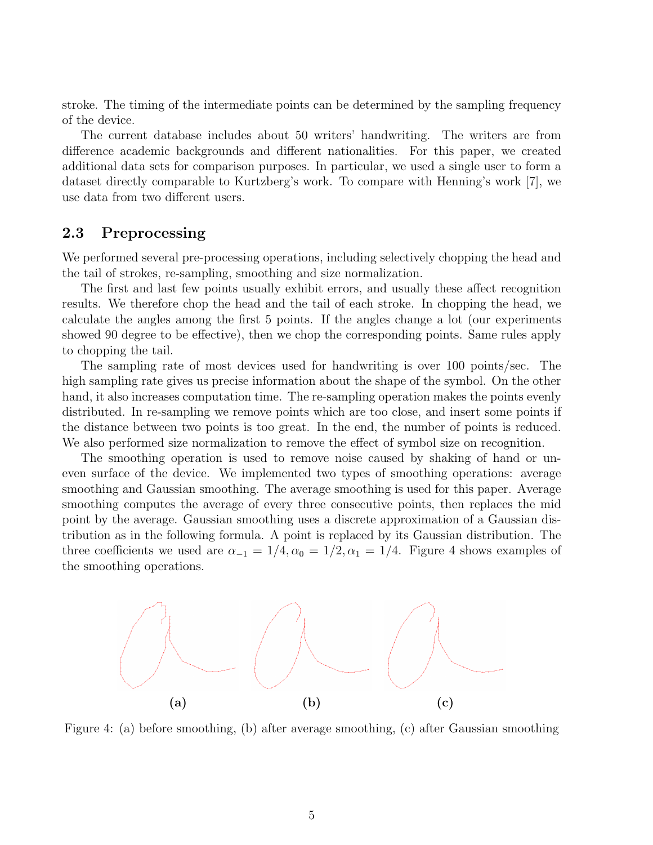stroke. The timing of the intermediate points can be determined by the sampling frequency of the device.

The current database includes about 50 writers' handwriting. The writers are from difference academic backgrounds and different nationalities. For this paper, we created additional data sets for comparison purposes. In particular, we used a single user to form a dataset directly comparable to Kurtzberg's work. To compare with Henning's work [7], we use data from two different users.

### 2.3 Preprocessing

We performed several pre-processing operations, including selectively chopping the head and the tail of strokes, re-sampling, smoothing and size normalization.

The first and last few points usually exhibit errors, and usually these affect recognition results. We therefore chop the head and the tail of each stroke. In chopping the head, we calculate the angles among the first 5 points. If the angles change a lot (our experiments showed 90 degree to be effective), then we chop the corresponding points. Same rules apply to chopping the tail.

The sampling rate of most devices used for handwriting is over 100 points/sec. The high sampling rate gives us precise information about the shape of the symbol. On the other hand, it also increases computation time. The re-sampling operation makes the points evenly distributed. In re-sampling we remove points which are too close, and insert some points if the distance between two points is too great. In the end, the number of points is reduced. We also performed size normalization to remove the effect of symbol size on recognition.

The smoothing operation is used to remove noise caused by shaking of hand or uneven surface of the device. We implemented two types of smoothing operations: average smoothing and Gaussian smoothing. The average smoothing is used for this paper. Average smoothing computes the average of every three consecutive points, then replaces the mid point by the average. Gaussian smoothing uses a discrete approximation of a Gaussian distribution as in the following formula. A point is replaced by its Gaussian distribution. The three coefficients we used are  $\alpha_{-1} = 1/4, \alpha_0 = 1/2, \alpha_1 = 1/4$ . Figure 4 shows examples of the smoothing operations.



Figure 4: (a) before smoothing, (b) after average smoothing, (c) after Gaussian smoothing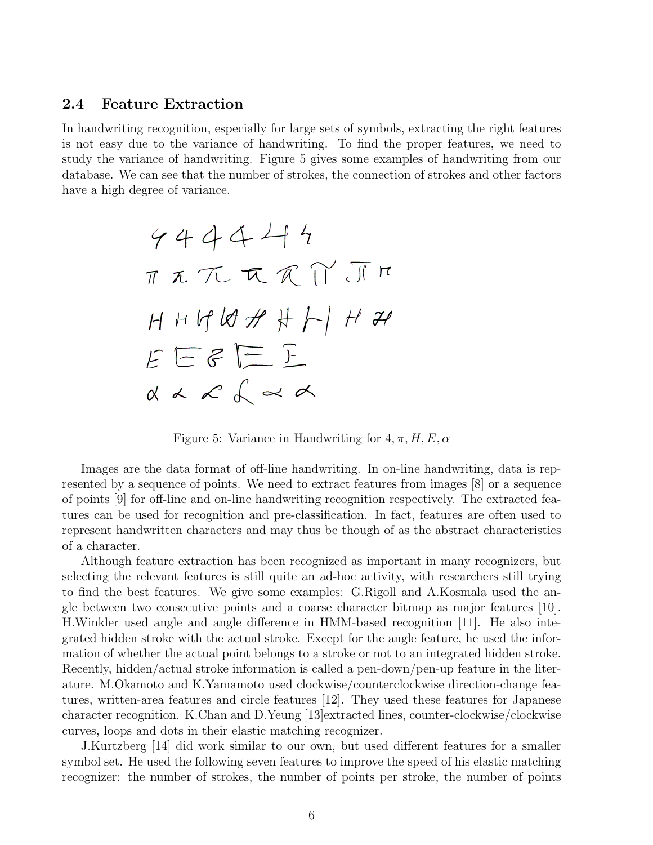#### 2.4 Feature Extraction

In handwriting recognition, especially for large sets of symbols, extracting the right features is not easy due to the variance of handwriting. To find the proper features, we need to study the variance of handwriting. Figure 5 gives some examples of handwriting from our database. We can see that the number of strokes, the connection of strokes and other factors have a high degree of variance.

Figure 5: Variance in Handwriting for  $4, \pi, H, E, \alpha$ 

Images are the data format of off-line handwriting. In on-line handwriting, data is represented by a sequence of points. We need to extract features from images [8] or a sequence of points [9] for off-line and on-line handwriting recognition respectively. The extracted features can be used for recognition and pre-classification. In fact, features are often used to represent handwritten characters and may thus be though of as the abstract characteristics of a character.

Although feature extraction has been recognized as important in many recognizers, but selecting the relevant features is still quite an ad-hoc activity, with researchers still trying to find the best features. We give some examples: G.Rigoll and A.Kosmala used the angle between two consecutive points and a coarse character bitmap as major features [10]. H.Winkler used angle and angle difference in HMM-based recognition [11]. He also integrated hidden stroke with the actual stroke. Except for the angle feature, he used the information of whether the actual point belongs to a stroke or not to an integrated hidden stroke. Recently, hidden/actual stroke information is called a pen-down/pen-up feature in the literature. M.Okamoto and K.Yamamoto used clockwise/counterclockwise direction-change features, written-area features and circle features [12]. They used these features for Japanese character recognition. K.Chan and D.Yeung [13]extracted lines, counter-clockwise/clockwise curves, loops and dots in their elastic matching recognizer.

J.Kurtzberg [14] did work similar to our own, but used different features for a smaller symbol set. He used the following seven features to improve the speed of his elastic matching recognizer: the number of strokes, the number of points per stroke, the number of points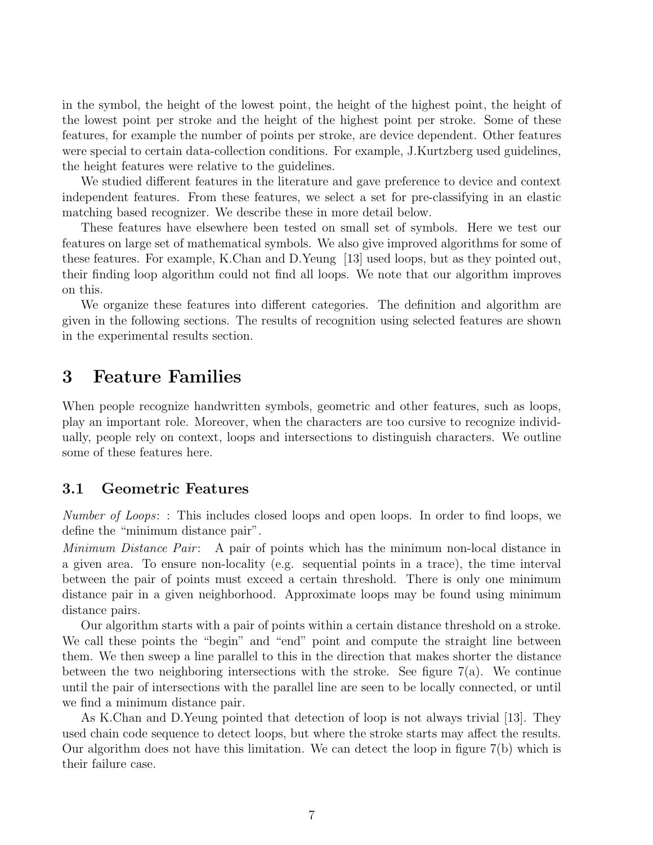in the symbol, the height of the lowest point, the height of the highest point, the height of the lowest point per stroke and the height of the highest point per stroke. Some of these features, for example the number of points per stroke, are device dependent. Other features were special to certain data-collection conditions. For example, J.Kurtzberg used guidelines, the height features were relative to the guidelines.

We studied different features in the literature and gave preference to device and context independent features. From these features, we select a set for pre-classifying in an elastic matching based recognizer. We describe these in more detail below.

These features have elsewhere been tested on small set of symbols. Here we test our features on large set of mathematical symbols. We also give improved algorithms for some of these features. For example, K.Chan and D.Yeung [13] used loops, but as they pointed out, their finding loop algorithm could not find all loops. We note that our algorithm improves on this.

We organize these features into different categories. The definition and algorithm are given in the following sections. The results of recognition using selected features are shown in the experimental results section.

### 3 Feature Families

When people recognize handwritten symbols, geometric and other features, such as loops, play an important role. Moreover, when the characters are too cursive to recognize individually, people rely on context, loops and intersections to distinguish characters. We outline some of these features here.

### 3.1 Geometric Features

Number of Loops: : This includes closed loops and open loops. In order to find loops, we define the "minimum distance pair".

Minimum Distance Pair: A pair of points which has the minimum non-local distance in a given area. To ensure non-locality (e.g. sequential points in a trace), the time interval between the pair of points must exceed a certain threshold. There is only one minimum distance pair in a given neighborhood. Approximate loops may be found using minimum distance pairs.

Our algorithm starts with a pair of points within a certain distance threshold on a stroke. We call these points the "begin" and "end" point and compute the straight line between them. We then sweep a line parallel to this in the direction that makes shorter the distance between the two neighboring intersections with the stroke. See figure 7(a). We continue until the pair of intersections with the parallel line are seen to be locally connected, or until we find a minimum distance pair.

As K.Chan and D.Yeung pointed that detection of loop is not always trivial [13]. They used chain code sequence to detect loops, but where the stroke starts may affect the results. Our algorithm does not have this limitation. We can detect the loop in figure 7(b) which is their failure case.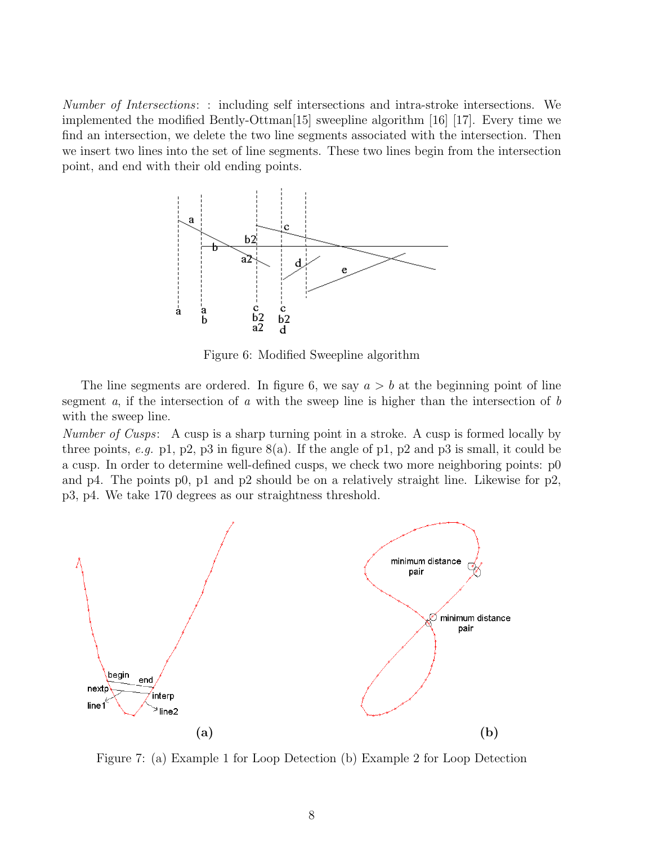Number of Intersections: : including self intersections and intra-stroke intersections. We implemented the modified Bently-Ottman[15] sweepline algorithm [16] [17]. Every time we find an intersection, we delete the two line segments associated with the intersection. Then we insert two lines into the set of line segments. These two lines begin from the intersection point, and end with their old ending points.



Figure 6: Modified Sweepline algorithm

The line segments are ordered. In figure 6, we say  $a > b$  at the beginning point of line segment a, if the intersection of a with the sweep line is higher than the intersection of b with the sweep line.

Number of Cusps: A cusp is a sharp turning point in a stroke. A cusp is formed locally by three points, e.g. p1, p2, p3 in figure  $8(a)$ . If the angle of p1, p2 and p3 is small, it could be a cusp. In order to determine well-defined cusps, we check two more neighboring points: p0 and p4. The points p0, p1 and p2 should be on a relatively straight line. Likewise for p2, p3, p4. We take 170 degrees as our straightness threshold.



Figure 7: (a) Example 1 for Loop Detection (b) Example 2 for Loop Detection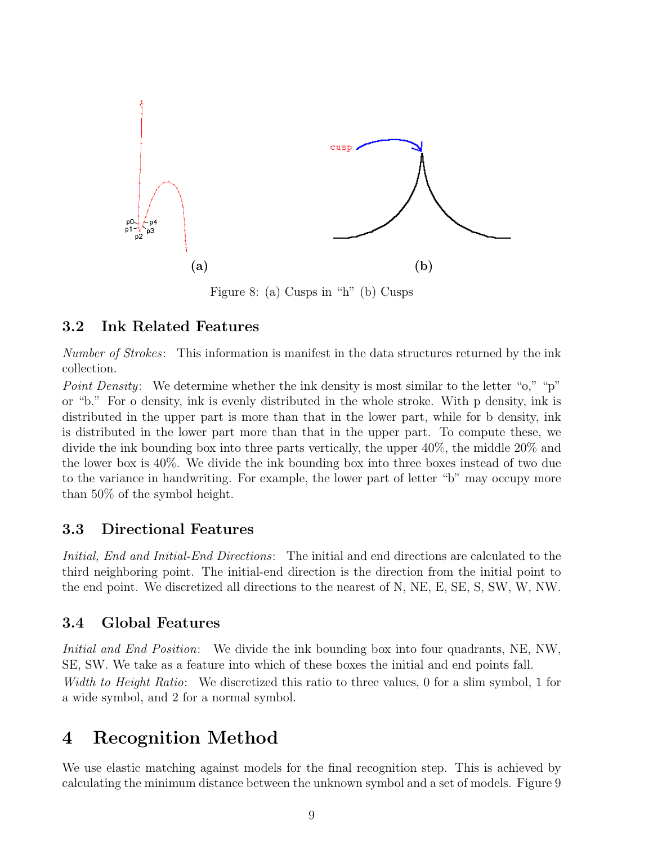

Figure 8: (a) Cusps in "h" (b) Cusps

#### 3.2 Ink Related Features

Number of Strokes: This information is manifest in the data structures returned by the ink collection.

Point Density: We determine whether the ink density is most similar to the letter "o," "p" or "b." For o density, ink is evenly distributed in the whole stroke. With p density, ink is distributed in the upper part is more than that in the lower part, while for b density, ink is distributed in the lower part more than that in the upper part. To compute these, we divide the ink bounding box into three parts vertically, the upper 40%, the middle 20% and the lower box is 40%. We divide the ink bounding box into three boxes instead of two due to the variance in handwriting. For example, the lower part of letter "b" may occupy more than 50% of the symbol height.

#### 3.3 Directional Features

Initial, End and Initial-End Directions: The initial and end directions are calculated to the third neighboring point. The initial-end direction is the direction from the initial point to the end point. We discretized all directions to the nearest of N, NE, E, SE, S, SW, W, NW.

#### 3.4 Global Features

Initial and End Position: We divide the ink bounding box into four quadrants, NE, NW, SE, SW. We take as a feature into which of these boxes the initial and end points fall. Width to Height Ratio: We discretized this ratio to three values, 0 for a slim symbol, 1 for a wide symbol, and 2 for a normal symbol.

### 4 Recognition Method

We use elastic matching against models for the final recognition step. This is achieved by calculating the minimum distance between the unknown symbol and a set of models. Figure 9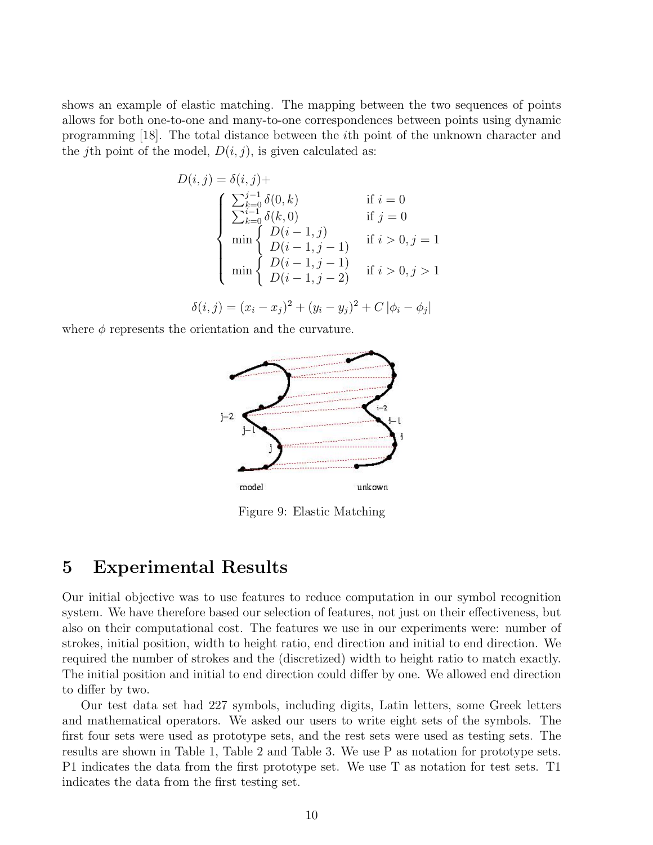shows an example of elastic matching. The mapping between the two sequences of points allows for both one-to-one and many-to-one correspondences between points using dynamic programming [18]. The total distance between the ith point of the unknown character and the jth point of the model,  $D(i, j)$ , is given calculated as:

$$
D(i, j) = \delta(i, j) +
$$
  
\n
$$
\begin{cases}\n\sum_{k=0}^{j-1} \delta(0, k) & \text{if } i = 0 \\
\sum_{k=0}^{i-1} \delta(k, 0) & \text{if } j = 0 \\
\min \begin{cases}\nD(i-1, j) & \text{if } i > 0, j = 1 \\
D(i-1, j-1) & \text{if } i > 0, j > 1 \\
D(i-1, j-2) & \text{if } i > 0, j > 1\n\end{cases}\n\end{cases}
$$

 $\delta(i, j) = (x_i - x_j)^2 + (y_i - y_j)^2 + C |\phi_i - \phi_j|$ 

where  $\phi$  represents the orientation and the curvature.



Figure 9: Elastic Matching

### 5 Experimental Results

Our initial objective was to use features to reduce computation in our symbol recognition system. We have therefore based our selection of features, not just on their effectiveness, but also on their computational cost. The features we use in our experiments were: number of strokes, initial position, width to height ratio, end direction and initial to end direction. We required the number of strokes and the (discretized) width to height ratio to match exactly. The initial position and initial to end direction could differ by one. We allowed end direction to differ by two.

Our test data set had 227 symbols, including digits, Latin letters, some Greek letters and mathematical operators. We asked our users to write eight sets of the symbols. The first four sets were used as prototype sets, and the rest sets were used as testing sets. The results are shown in Table 1, Table 2 and Table 3. We use P as notation for prototype sets. P1 indicates the data from the first prototype set. We use T as notation for test sets. T1 indicates the data from the first testing set.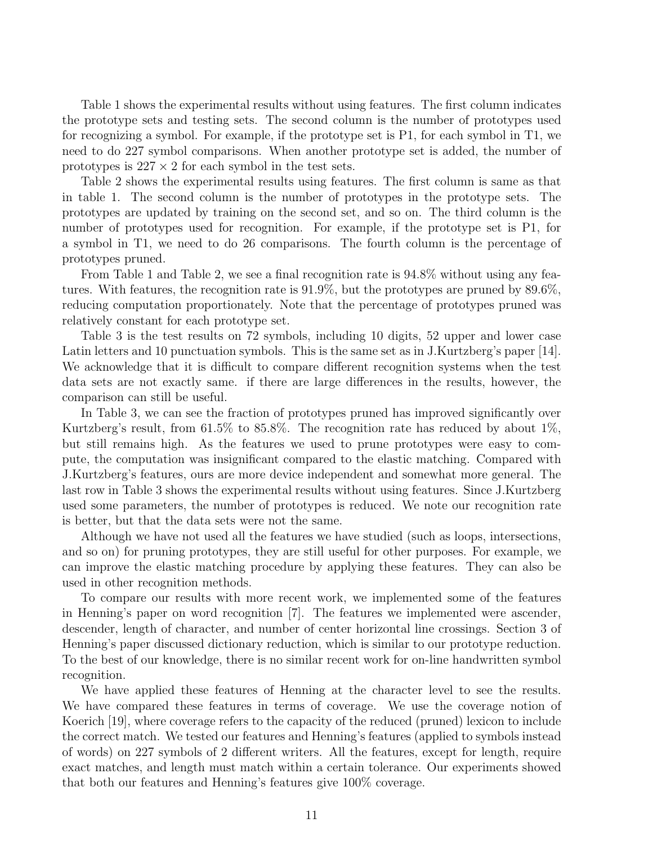Table 1 shows the experimental results without using features. The first column indicates the prototype sets and testing sets. The second column is the number of prototypes used for recognizing a symbol. For example, if the prototype set is P1, for each symbol in T1, we need to do 227 symbol comparisons. When another prototype set is added, the number of prototypes is  $227 \times 2$  for each symbol in the test sets.

Table 2 shows the experimental results using features. The first column is same as that in table 1. The second column is the number of prototypes in the prototype sets. The prototypes are updated by training on the second set, and so on. The third column is the number of prototypes used for recognition. For example, if the prototype set is P1, for a symbol in T1, we need to do 26 comparisons. The fourth column is the percentage of prototypes pruned.

From Table 1 and Table 2, we see a final recognition rate is 94.8% without using any features. With features, the recognition rate is 91.9%, but the prototypes are pruned by 89.6%, reducing computation proportionately. Note that the percentage of prototypes pruned was relatively constant for each prototype set.

Table 3 is the test results on 72 symbols, including 10 digits, 52 upper and lower case Latin letters and 10 punctuation symbols. This is the same set as in J.Kurtzberg's paper [14]. We acknowledge that it is difficult to compare different recognition systems when the test data sets are not exactly same. if there are large differences in the results, however, the comparison can still be useful.

In Table 3, we can see the fraction of prototypes pruned has improved significantly over Kurtzberg's result, from 61.5% to 85.8%. The recognition rate has reduced by about 1%, but still remains high. As the features we used to prune prototypes were easy to compute, the computation was insignificant compared to the elastic matching. Compared with J.Kurtzberg's features, ours are more device independent and somewhat more general. The last row in Table 3 shows the experimental results without using features. Since J.Kurtzberg used some parameters, the number of prototypes is reduced. We note our recognition rate is better, but that the data sets were not the same.

Although we have not used all the features we have studied (such as loops, intersections, and so on) for pruning prototypes, they are still useful for other purposes. For example, we can improve the elastic matching procedure by applying these features. They can also be used in other recognition methods.

To compare our results with more recent work, we implemented some of the features in Henning's paper on word recognition [7]. The features we implemented were ascender, descender, length of character, and number of center horizontal line crossings. Section 3 of Henning's paper discussed dictionary reduction, which is similar to our prototype reduction. To the best of our knowledge, there is no similar recent work for on-line handwritten symbol recognition.

We have applied these features of Henning at the character level to see the results. We have compared these features in terms of coverage. We use the coverage notion of Koerich [19], where coverage refers to the capacity of the reduced (pruned) lexicon to include the correct match. We tested our features and Henning's features (applied to symbols instead of words) on 227 symbols of 2 different writers. All the features, except for length, require exact matches, and length must match within a certain tolerance. Our experiments showed that both our features and Henning's features give 100% coverage.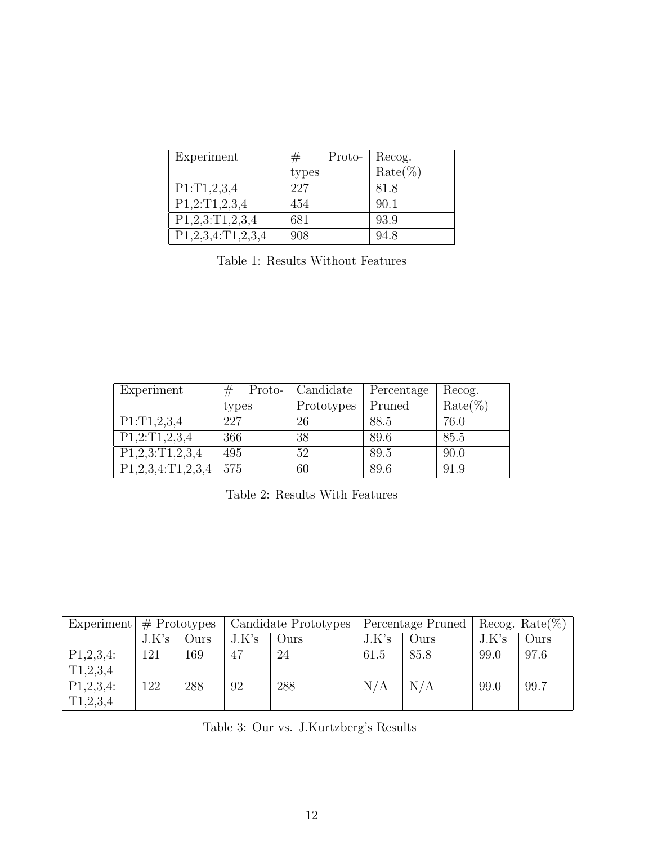| Experiment           | Proto- |                   |
|----------------------|--------|-------------------|
|                      | types  | Recog.<br>Rate(%) |
| P1:T1,2,3,4          | 227    | 81.8              |
| P1,2:T1,2,3,4        | 454    | 90.1              |
| P1,2,3:TT1,2,3,4     | 681    | 93.9              |
| $P1,2,3,4$ :T1,2,3,4 | 908    | 94.8              |

Table 1: Results Without Features

| Experiment           | #<br>Proto- | Candidate  | Percentage | Recog.     |
|----------------------|-------------|------------|------------|------------|
|                      | types       | Prototypes | Pruned     | $Rate(\%)$ |
| P1:T1,2,3,4          | 227         | 26         | 88.5       | 76.0       |
| P1,2:TI,2,3,4        | 366         | 38         | 89.6       | 85.5       |
| P1,2,3:TT1,2,3,4     | 495         | 52         | 89.5       | 90.0       |
| $P1,2,3,4$ :T1,2,3,4 | 575         | 60         | 89.6       | 91.9       |

|              | Experiment $#$ Prototypes |      | Candidate Prototypes |      | Percentage Pruned |       | Recog. Rate $(\%)$ |      |
|--------------|---------------------------|------|----------------------|------|-------------------|-------|--------------------|------|
|              | J.K's                     | Ours | J.K's                | Ours | J.K's             | Ours) | J.K's              | Ours |
| $P1,2,3,4$ : | 121                       | 169  | 47                   | 24   | 61.5              | 85.8  | 99.0               | 97.6 |
| T1,2,3,4     |                           |      |                      |      |                   |       |                    |      |
| $P1,2,3,4$ : | 122                       | 288  | 92                   | 288  | N/A               | N/A   | 99.0               | 99.7 |
| T1,2,3,4     |                           |      |                      |      |                   |       |                    |      |

Table 3: Our vs. J.Kurtzberg's Results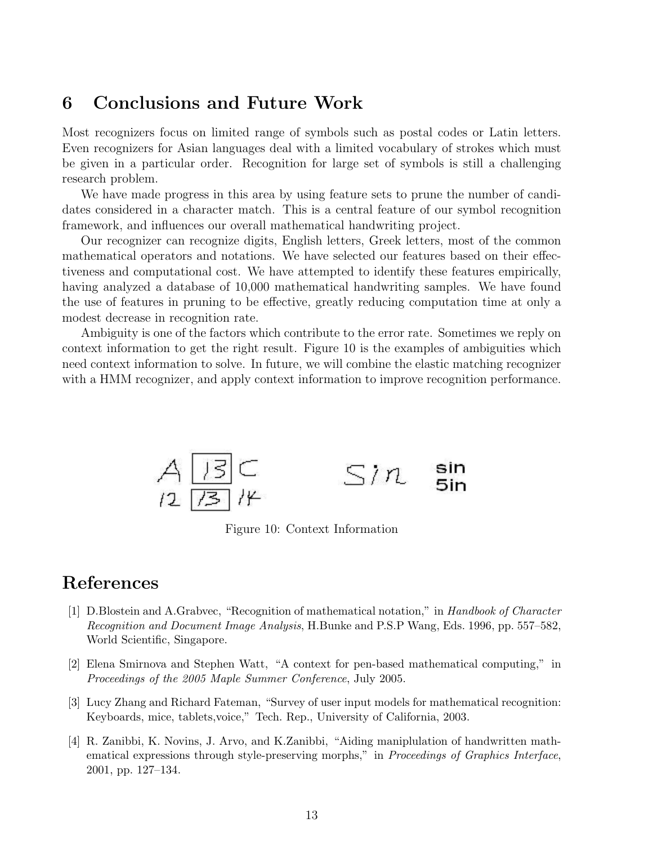## 6 Conclusions and Future Work

Most recognizers focus on limited range of symbols such as postal codes or Latin letters. Even recognizers for Asian languages deal with a limited vocabulary of strokes which must be given in a particular order. Recognition for large set of symbols is still a challenging research problem.

We have made progress in this area by using feature sets to prune the number of candidates considered in a character match. This is a central feature of our symbol recognition framework, and influences our overall mathematical handwriting project.

Our recognizer can recognize digits, English letters, Greek letters, most of the common mathematical operators and notations. We have selected our features based on their effectiveness and computational cost. We have attempted to identify these features empirically, having analyzed a database of 10,000 mathematical handwriting samples. We have found the use of features in pruning to be effective, greatly reducing computation time at only a modest decrease in recognition rate.

Ambiguity is one of the factors which contribute to the error rate. Sometimes we reply on context information to get the right result. Figure 10 is the examples of ambiguities which need context information to solve. In future, we will combine the elastic matching recognizer with a HMM recognizer, and apply context information to improve recognition performance.



Figure 10: Context Information

## References

- [1] D.Blostein and A.Grabvec, "Recognition of mathematical notation," in Handbook of Character Recognition and Document Image Analysis, H.Bunke and P.S.P Wang, Eds. 1996, pp. 557–582, World Scientific, Singapore.
- [2] Elena Smirnova and Stephen Watt, "A context for pen-based mathematical computing," in Proceedings of the 2005 Maple Summer Conference, July 2005.
- [3] Lucy Zhang and Richard Fateman, "Survey of user input models for mathematical recognition: Keyboards, mice, tablets,voice," Tech. Rep., University of California, 2003.
- [4] R. Zanibbi, K. Novins, J. Arvo, and K.Zanibbi, "Aiding maniplulation of handwritten mathematical expressions through style-preserving morphs," in Proceedings of Graphics Interface, 2001, pp. 127–134.